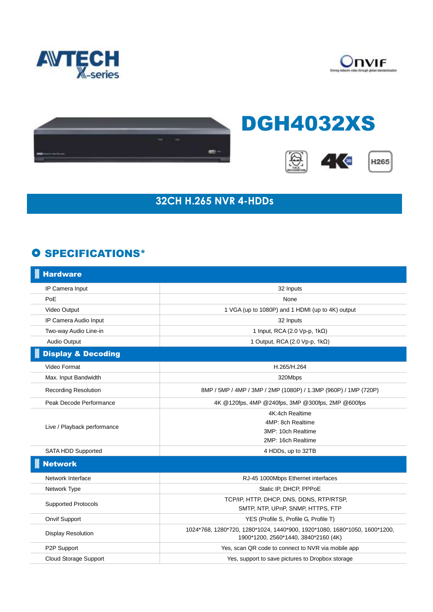





## DGH4032XS







## **32CH H.265 NVR 4-HDDs**

## **O SPECIFICATIONS\***

| <b>Hardware</b>               |                                                                                                                   |
|-------------------------------|-------------------------------------------------------------------------------------------------------------------|
| IP Camera Input               | 32 Inputs                                                                                                         |
| PoE                           | None                                                                                                              |
| Video Output                  | 1 VGA (up to 1080P) and 1 HDMI (up to 4K) output                                                                  |
| IP Camera Audio Input         | 32 Inputs                                                                                                         |
| Two-way Audio Line-in         | 1 Input, RCA (2.0 Vp-p, 1kΩ)                                                                                      |
| Audio Output                  | 1 Output, RCA (2.0 Vp-p, 1kΩ)                                                                                     |
| <b>Display &amp; Decoding</b> |                                                                                                                   |
| Video Format                  | H.265/H.264                                                                                                       |
| Max. Input Bandwidth          | 320Mbps                                                                                                           |
| <b>Recording Resolution</b>   | 8MP / 5MP / 4MP / 3MP / 2MP (1080P) / 1.3MP (960P) / 1MP (720P)                                                   |
| Peak Decode Performance       | 4K @120fps, 4MP @240fps, 3MP @300fps, 2MP @600fps                                                                 |
| Live / Playback performance   | 4K:4ch Realtime                                                                                                   |
|                               | 4MP: 8ch Realtime                                                                                                 |
|                               | 3MP: 10ch Realtime                                                                                                |
|                               | 2MP: 16ch Realtime                                                                                                |
| SATA HDD Supported            | 4 HDDs, up to 32TB                                                                                                |
| <b>Network</b>                |                                                                                                                   |
| Network Interface             | RJ-45 1000Mbps Ethernet interfaces                                                                                |
| Network Type                  | Static IP, DHCP, PPPoE                                                                                            |
| <b>Supported Protocols</b>    | TCP/IP, HTTP, DHCP, DNS, DDNS, RTP/RTSP,                                                                          |
|                               | SMTP, NTP, UPnP, SNMP, HTTPS, FTP                                                                                 |
| <b>Onvif Support</b>          | YES (Profile S, Profile G, Profile T)                                                                             |
| <b>Display Resolution</b>     | 1024*768, 1280*720, 1280*1024, 1440*900, 1920*1080, 1680*1050, 1600*1200,<br>1900*1200, 2560*1440, 3840*2160 (4K) |
| P2P Support                   | Yes, scan QR code to connect to NVR via mobile app                                                                |
| <b>Cloud Storage Support</b>  | Yes, support to save pictures to Dropbox storage                                                                  |
|                               |                                                                                                                   |